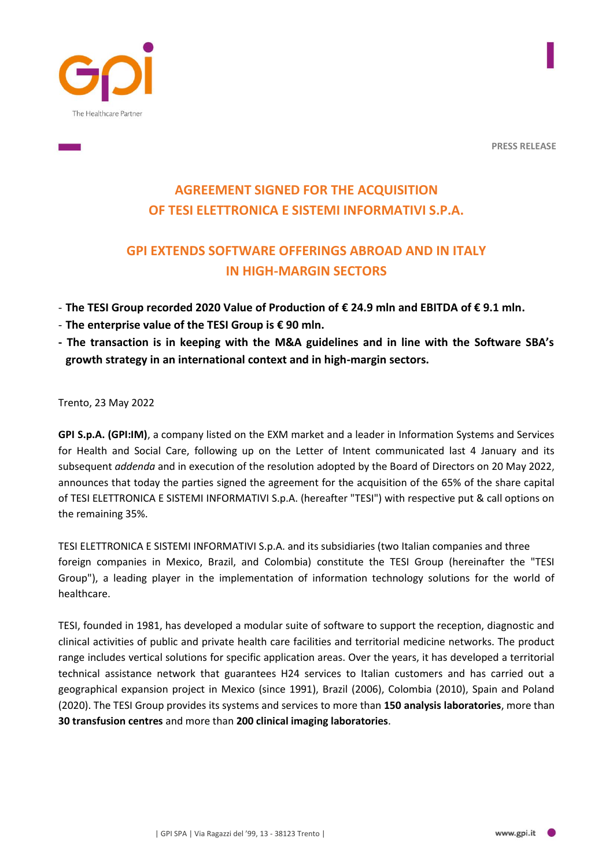

**PRESS RELEASE**

# **AGREEMENT SIGNED FOR THE ACQUISITION OF TESI ELETTRONICA E SISTEMI INFORMATIVI S.P.A.**

## **GPI EXTENDS SOFTWARE OFFERINGS ABROAD AND IN ITALY IN HIGH-MARGIN SECTORS**

- **The TESI Group recorded 2020 Value of Production of € 24.9 mln and EBITDA of € 9.1 mln.**
- **The enterprise value of the TESI Group is € 90 mln.**
- **- The transaction is in keeping with the M&A guidelines and in line with the Software SBA's growth strategy in an international context and in high-margin sectors.**

Trento, 23 May 2022

**GPI S.p.A. (GPI:IM)**, a company listed on the EXM market and a leader in Information Systems and Services for Health and Social Care, following up on the Letter of Intent communicated last 4 January and its subsequent *addenda* and in execution of the resolution adopted by the Board of Directors on 20 May 2022, announces that today the parties signed the agreement for the acquisition of the 65% of the share capital of TESI ELETTRONICA E SISTEMI INFORMATIVI S.p.A. (hereafter "TESI") with respective put & call options on the remaining 35%.

TESI ELETTRONICA E SISTEMI INFORMATIVI S.p.A. and its subsidiaries (two Italian companies and three foreign companies in Mexico, Brazil, and Colombia) constitute the TESI Group (hereinafter the "TESI Group"), a leading player in the implementation of information technology solutions for the world of healthcare.

TESI, founded in 1981, has developed a modular suite of software to support the reception, diagnostic and clinical activities of public and private health care facilities and territorial medicine networks. The product range includes vertical solutions for specific application areas. Over the years, it has developed a territorial technical assistance network that guarantees H24 services to Italian customers and has carried out a geographical expansion project in Mexico (since 1991), Brazil (2006), Colombia (2010), Spain and Poland (2020). The TESI Group provides its systems and services to more than **150 analysis laboratories**, more than **30 transfusion centres** and more than **200 clinical imaging laboratories**.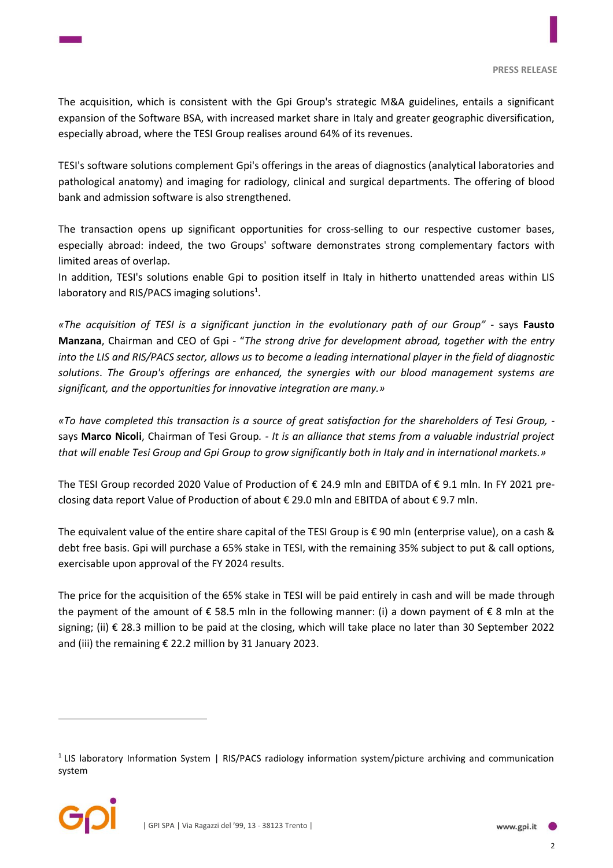The acquisition, which is consistent with the Gpi Group's strategic M&A guidelines, entails a significant expansion of the Software BSA, with increased market share in Italy and greater geographic diversification, especially abroad, where the TESI Group realises around 64% of its revenues.

TESI's software solutions complement Gpi's offerings in the areas of diagnostics (analytical laboratories and pathological anatomy) and imaging for radiology, clinical and surgical departments. The offering of blood bank and admission software is also strengthened.

The transaction opens up significant opportunities for cross-selling to our respective customer bases, especially abroad: indeed, the two Groups' software demonstrates strong complementary factors with limited areas of overlap.

In addition, TESI's solutions enable Gpi to position itself in Italy in hitherto unattended areas within LIS laboratory and RIS/PACS imaging solutions<sup>1</sup>.

*«The acquisition of TESI is a significant junction in the evolutionary path of our Group"* - says **Fausto Manzana**, Chairman and CEO of Gpi - "*The strong drive for development abroad, together with the entry into the LIS and RIS/PACS sector, allows us to become a leading international player in the field of diagnostic solutions*. *The Group's offerings are enhanced, the synergies with our blood management systems are significant, and the opportunities for innovative integration are many.»*

*«To have completed this transaction is a source of great satisfaction for the shareholders of Tesi Group,*  says **Marco Nicoli**, Chairman of Tesi Group*. - It is an alliance that stems from a valuable industrial project that will enable Tesi Group and Gpi Group to grow significantly both in Italy and in international markets.»*

The TESI Group recorded 2020 Value of Production of € 24.9 mln and EBITDA of € 9.1 mln. In FY 2021 preclosing data report Value of Production of about € 29.0 mln and EBITDA of about € 9.7 mln.

The equivalent value of the entire share capital of the TESI Group is  $\epsilon$  90 mln (enterprise value), on a cash & debt free basis. Gpi will purchase a 65% stake in TESI, with the remaining 35% subject to put & call options, exercisable upon approval of the FY 2024 results.

The price for the acquisition of the 65% stake in TESI will be paid entirely in cash and will be made through the payment of the amount of  $\epsilon$  58.5 mln in the following manner: (i) a down payment of  $\epsilon$  8 mln at the signing; (ii) € 28.3 million to be paid at the closing, which will take place no later than 30 September 2022 and (iii) the remaining € 22.2 million by 31 January 2023.

<sup>&</sup>lt;sup>1</sup> LIS laboratory Information System | RIS/PACS radiology information system/picture archiving and communication system



 $\overline{a}$